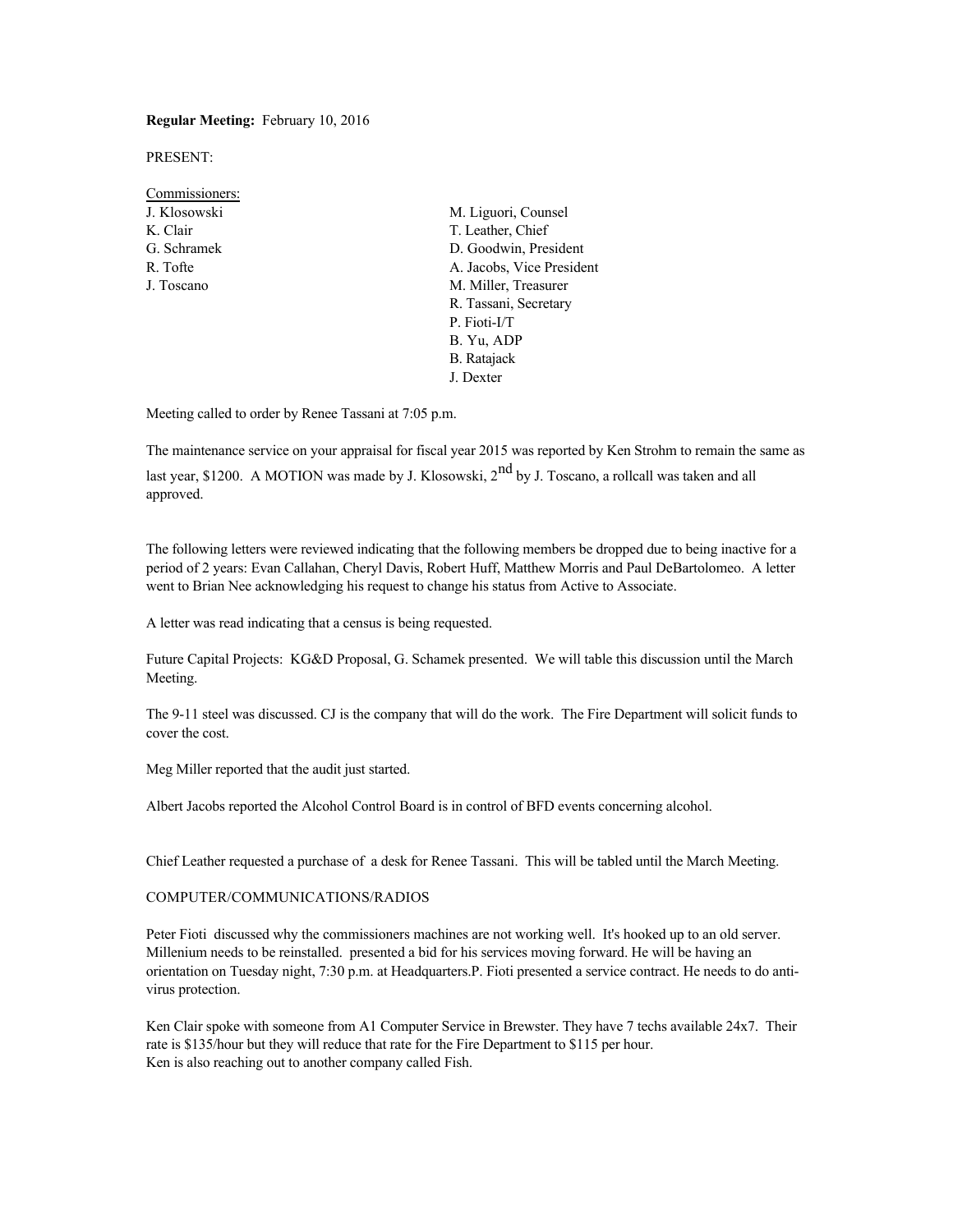#### **Regular Meeting:** February 10, 2016

PRESENT:

- Commissioners: K. Clair T. Leather, Chief
- J. Klosowski M. Liguori, Counsel G. Schramek D. Goodwin, President R. Tofte **A. Jacobs, Vice President** J. Toscano M. Miller, Treasurer R. Tassani, Secretary P. Fioti-I/T B. Yu, ADP B. Ratajack J. Dexter

Meeting called to order by Renee Tassani at 7:05 p.m.

The maintenance service on your appraisal for fiscal year 2015 was reported by Ken Strohm to remain the same as

last year, \$1200. A MOTION was made by J. Klosowski,  $2^{nd}$  by J. Toscano, a rollcall was taken and all approved.

The following letters were reviewed indicating that the following members be dropped due to being inactive for a period of 2 years: Evan Callahan, Cheryl Davis, Robert Huff, Matthew Morris and Paul DeBartolomeo. A letter went to Brian Nee acknowledging his request to change his status from Active to Associate.

A letter was read indicating that a census is being requested.

Future Capital Projects: KG&D Proposal, G. Schamek presented. We will table this discussion until the March Meeting.

The 9-11 steel was discussed. CJ is the company that will do the work. The Fire Department will solicit funds to cover the cost.

Meg Miller reported that the audit just started.

Albert Jacobs reported the Alcohol Control Board is in control of BFD events concerning alcohol.

Chief Leather requested a purchase of a desk for Renee Tassani. This will be tabled until the March Meeting.

## COMPUTER/COMMUNICATIONS/RADIOS

Peter Fioti discussed why the commissioners machines are not working well. It's hooked up to an old server. Millenium needs to be reinstalled. presented a bid for his services moving forward. He will be having an orientation on Tuesday night, 7:30 p.m. at Headquarters.P. Fioti presented a service contract. He needs to do antivirus protection.

Ken Clair spoke with someone from A1 Computer Service in Brewster. They have 7 techs available 24x7. Their rate is \$135/hour but they will reduce that rate for the Fire Department to \$115 per hour. Ken is also reaching out to another company called Fish.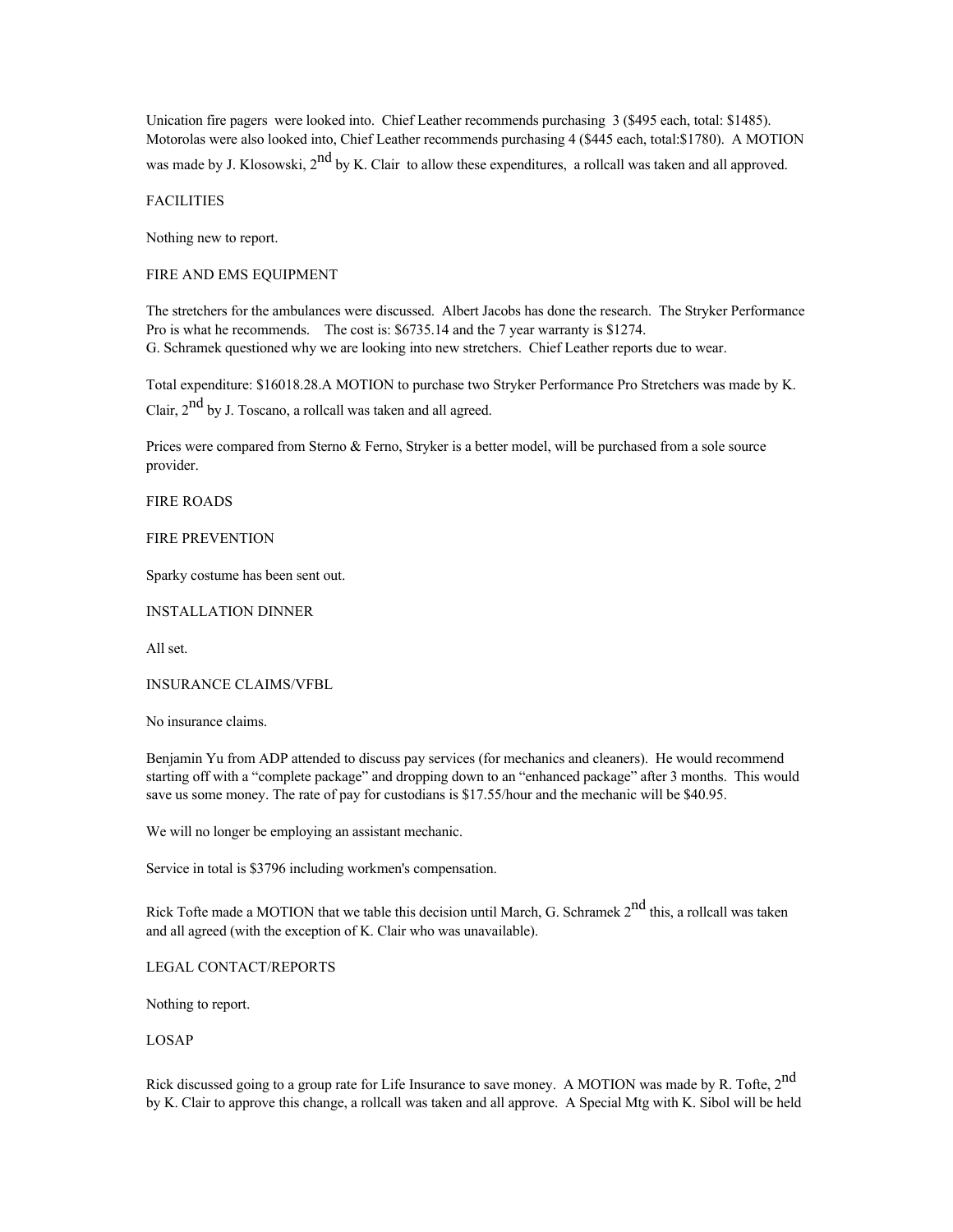Unication fire pagers were looked into. Chief Leather recommends purchasing 3 (\$495 each, total: \$1485). Motorolas were also looked into, Chief Leather recommends purchasing 4 (\$445 each, total:\$1780). A MOTION

was made by J. Klosowski,  $2^{nd}$  by K. Clair to allow these expenditures, a rollcall was taken and all approved.

**FACILITIES** 

Nothing new to report.

FIRE AND EMS EQUIPMENT

The stretchers for the ambulances were discussed. Albert Jacobs has done the research. The Stryker Performance Pro is what he recommends. The cost is: \$6735.14 and the 7 year warranty is \$1274. G. Schramek questioned why we are looking into new stretchers. Chief Leather reports due to wear.

Total expenditure: \$16018.28.A MOTION to purchase two Stryker Performance Pro Stretchers was made by K.

Clair, 2<sup>nd</sup> by J. Toscano, a rollcall was taken and all agreed.

Prices were compared from Sterno & Ferno, Stryker is a better model, will be purchased from a sole source provider.

FIRE ROADS

FIRE PREVENTION

Sparky costume has been sent out.

INSTALLATION DINNER

All set.

INSURANCE CLAIMS/VFBL

No insurance claims.

Benjamin Yu from ADP attended to discuss pay services (for mechanics and cleaners). He would recommend starting off with a "complete package" and dropping down to an "enhanced package" after 3 months. This would save us some money. The rate of pay for custodians is \$17.55/hour and the mechanic will be \$40.95.

We will no longer be employing an assistant mechanic.

Service in total is \$3796 including workmen's compensation.

Rick Tofte made a MOTION that we table this decision until March, G. Schramek 2<sup>nd</sup> this, a rollcall was taken and all agreed (with the exception of K. Clair who was unavailable).

LEGAL CONTACT/REPORTS

Nothing to report.

LOSAP

Rick discussed going to a group rate for Life Insurance to save money. A MOTION was made by R. Tofte, 2<sup>nd</sup> by K. Clair to approve this change, a rollcall was taken and all approve. A Special Mtg with K. Sibol will be held